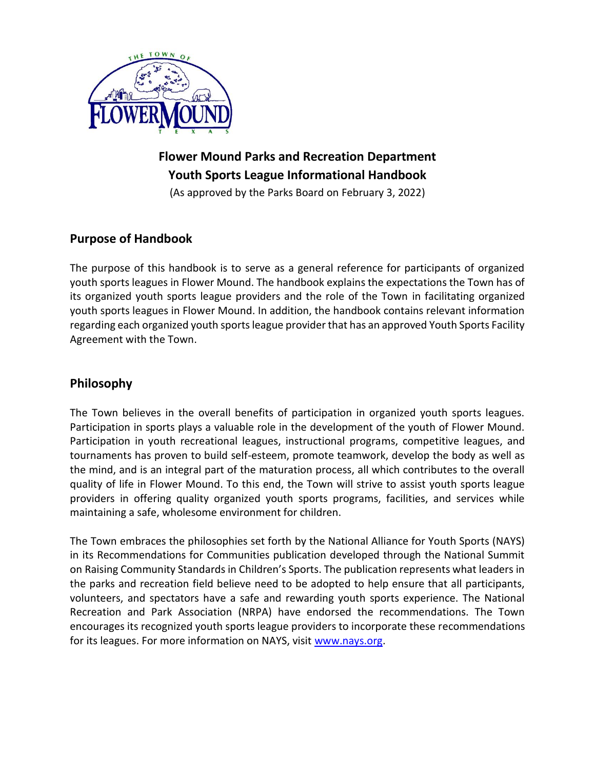

# **Flower Mound Parks and Recreation Department Youth Sports League Informational Handbook**

(As approved by the Parks Board on February 3, 2022)

# **Purpose of Handbook**

The purpose of this handbook is to serve as a general reference for participants of organized youth sports leagues in Flower Mound. The handbook explains the expectations the Town has of its organized youth sports league providers and the role of the Town in facilitating organized youth sports leagues in Flower Mound. In addition, the handbook contains relevant information regarding each organized youth sports league provider that has an approved Youth Sports Facility Agreement with the Town.

# **Philosophy**

The Town believes in the overall benefits of participation in organized youth sports leagues. Participation in sports plays a valuable role in the development of the youth of Flower Mound. Participation in youth recreational leagues, instructional programs, competitive leagues, and tournaments has proven to build self-esteem, promote teamwork, develop the body as well as the mind, and is an integral part of the maturation process, all which contributes to the overall quality of life in Flower Mound. To this end, the Town will strive to assist youth sports league providers in offering quality organized youth sports programs, facilities, and services while maintaining a safe, wholesome environment for children.

The Town embraces the philosophies set forth by the National Alliance for Youth Sports (NAYS) in its Recommendations for Communities publication developed through the National Summit on Raising Community Standards in Children's Sports. The publication represents what leaders in the parks and recreation field believe need to be adopted to help ensure that all participants, volunteers, and spectators have a safe and rewarding youth sports experience. The National Recreation and Park Association (NRPA) have endorsed the recommendations. The Town encourages its recognized youth sports league providers to incorporate these recommendations for its leagues. For more information on NAYS, visit [www.nays.org.](http://www.nays.org/)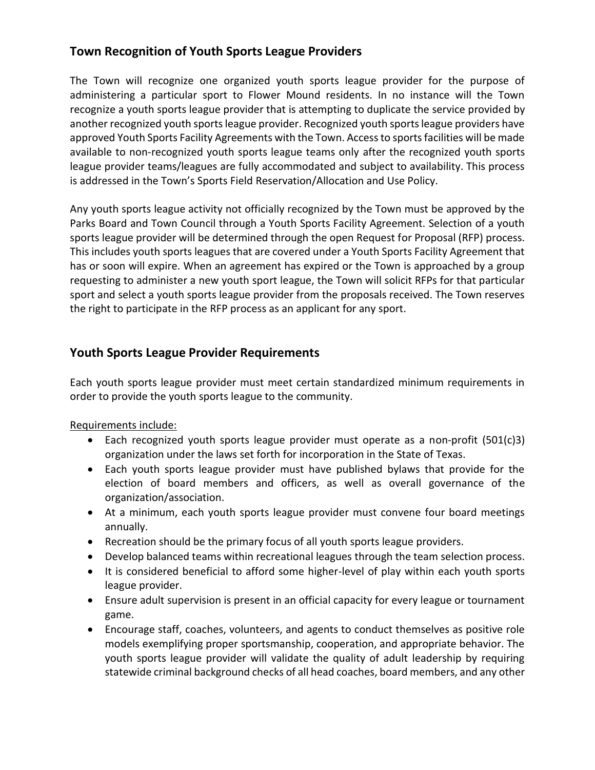# **Town Recognition of Youth Sports League Providers**

The Town will recognize one organized youth sports league provider for the purpose of administering a particular sport to Flower Mound residents. In no instance will the Town recognize a youth sports league provider that is attempting to duplicate the service provided by another recognized youth sports league provider. Recognized youth sports league providers have approved Youth Sports Facility Agreements with the Town. Access to sports facilities will be made available to non-recognized youth sports league teams only after the recognized youth sports league provider teams/leagues are fully accommodated and subject to availability. This process is addressed in the Town's Sports Field Reservation/Allocation and Use Policy.

Any youth sports league activity not officially recognized by the Town must be approved by the Parks Board and Town Council through a Youth Sports Facility Agreement. Selection of a youth sports league provider will be determined through the open Request for Proposal (RFP) process. This includes youth sports leagues that are covered under a Youth Sports Facility Agreement that has or soon will expire. When an agreement has expired or the Town is approached by a group requesting to administer a new youth sport league, the Town will solicit RFPs for that particular sport and select a youth sports league provider from the proposals received. The Town reserves the right to participate in the RFP process as an applicant for any sport.

# **Youth Sports League Provider Requirements**

Each youth sports league provider must meet certain standardized minimum requirements in order to provide the youth sports league to the community.

Requirements include:

- Each recognized youth sports league provider must operate as a non-profit (501(c)3) organization under the laws set forth for incorporation in the State of Texas.
- Each youth sports league provider must have published bylaws that provide for the election of board members and officers, as well as overall governance of the organization/association.
- At a minimum, each youth sports league provider must convene four board meetings annually.
- Recreation should be the primary focus of all youth sports league providers.
- Develop balanced teams within recreational leagues through the team selection process.
- It is considered beneficial to afford some higher-level of play within each youth sports league provider.
- Ensure adult supervision is present in an official capacity for every league or tournament game.
- Encourage staff, coaches, volunteers, and agents to conduct themselves as positive role models exemplifying proper sportsmanship, cooperation, and appropriate behavior. The youth sports league provider will validate the quality of adult leadership by requiring statewide criminal background checks of all head coaches, board members, and any other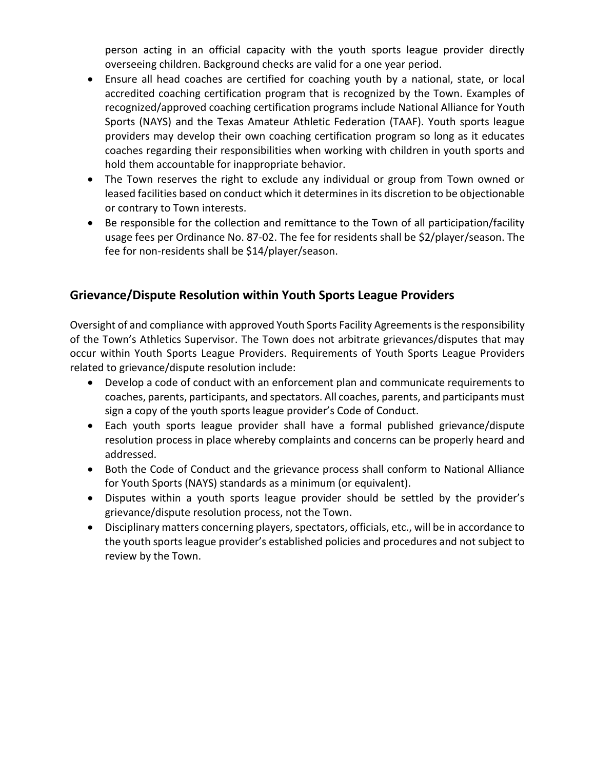person acting in an official capacity with the youth sports league provider directly overseeing children. Background checks are valid for a one year period.

- Ensure all head coaches are certified for coaching youth by a national, state, or local accredited coaching certification program that is recognized by the Town. Examples of recognized/approved coaching certification programs include National Alliance for Youth Sports (NAYS) and the Texas Amateur Athletic Federation (TAAF). Youth sports league providers may develop their own coaching certification program so long as it educates coaches regarding their responsibilities when working with children in youth sports and hold them accountable for inappropriate behavior.
- The Town reserves the right to exclude any individual or group from Town owned or leased facilities based on conduct which it determines in its discretion to be objectionable or contrary to Town interests.
- Be responsible for the collection and remittance to the Town of all participation/facility usage fees per Ordinance No. 87-02. The fee for residents shall be \$2/player/season. The fee for non-residents shall be \$14/player/season.

# **Grievance/Dispute Resolution within Youth Sports League Providers**

Oversight of and compliance with approved Youth Sports Facility Agreements is the responsibility of the Town's Athletics Supervisor. The Town does not arbitrate grievances/disputes that may occur within Youth Sports League Providers. Requirements of Youth Sports League Providers related to grievance/dispute resolution include:

- Develop a code of conduct with an enforcement plan and communicate requirements to coaches, parents, participants, and spectators. All coaches, parents, and participants must sign a copy of the youth sports league provider's Code of Conduct.
- Each youth sports league provider shall have a formal published grievance/dispute resolution process in place whereby complaints and concerns can be properly heard and addressed.
- Both the Code of Conduct and the grievance process shall conform to National Alliance for Youth Sports (NAYS) standards as a minimum (or equivalent).
- Disputes within a youth sports league provider should be settled by the provider's grievance/dispute resolution process, not the Town.
- Disciplinary matters concerning players, spectators, officials, etc., will be in accordance to the youth sports league provider's established policies and procedures and not subject to review by the Town.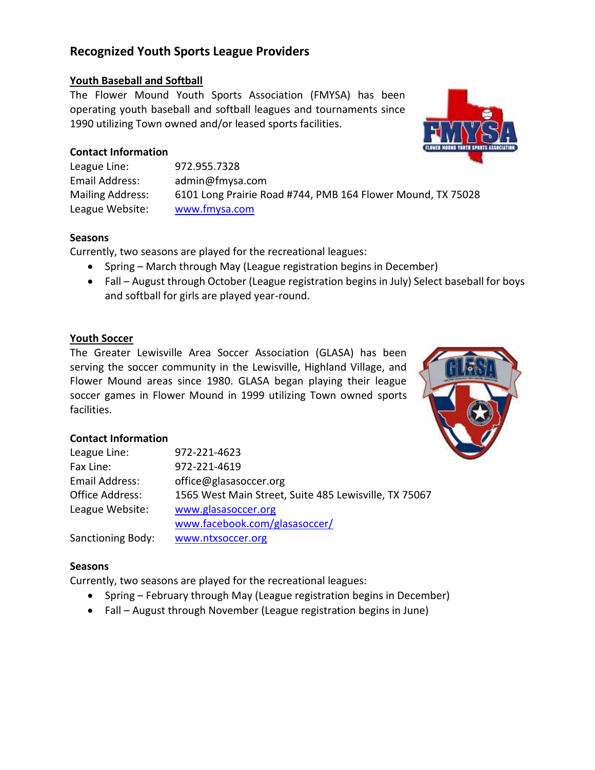# **Recognized Youth Sports League Providers**

## **Youth Baseball and Softball**

The Flower Mound Youth Sports Association (FMYSA) has been operating youth baseball and softball leagues and tournaments since 1990 utilizing Town owned and/or leased sports facilities.

## **Contact Information**

League Line: 972.955.7328 Email Address: admin@fmysa.com Mailing Address: 6101 Long Prairie Road #744, PMB 164 Flower Mound, TX 75028 League Website: [www.fmysa.com](http://www.fmysa.com/)

#### **Seasons**

Currently, two seasons are played for the recreational leagues:

- Spring March through May (League registration begins in December)
- Fall August through October (League registration begins in July) Select baseball for boys and softball for girls are played year-round.

#### **Youth Soccer**

The Greater Lewisville Area Soccer Association (GLASA) has been serving the soccer community in the Lewisville, Highland Village, and Flower Mound areas since 1980. GLASA began playing their league soccer games in Flower Mound in 1999 utilizing Town owned sports facilities.



## **Contact Information**

| League Line:             | 972-221-4623                                          |
|--------------------------|-------------------------------------------------------|
| Fax Line:                | 972-221-4619                                          |
| Email Address:           | office@glasasoccer.org                                |
| <b>Office Address:</b>   | 1565 West Main Street, Suite 485 Lewisville, TX 75067 |
| League Website:          | www.glasasoccer.org                                   |
|                          | www.facebook.com/glasasoccer/                         |
| <b>Sanctioning Body:</b> | www.ntxsoccer.org                                     |

#### **Seasons**

Currently, two seasons are played for the recreational leagues:

- Spring February through May (League registration begins in December)
- Fall August through November (League registration begins in June)

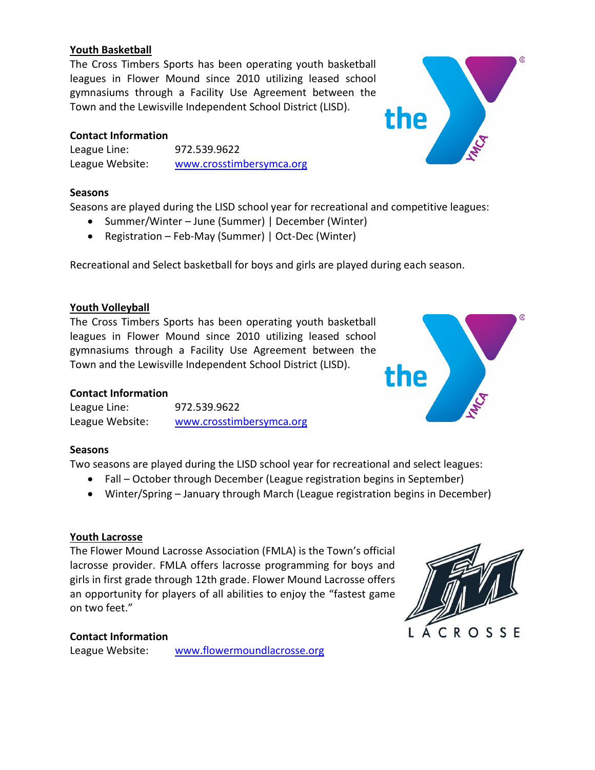## **Youth Basketball**

The Cross Timbers Sports has been operating youth basketball leagues in Flower Mound since 2010 utilizing leased school gymnasiums through a Facility Use Agreement between the Town and the Lewisville Independent School District (LISD).

## **Contact Information**

League Line: 972.539.9622 League Website: [www.crosstimbersymca.org](http://www.crosstimbersymca.org/)

## **Seasons**

Seasons are played during the LISD school year for recreational and competitive leagues:

- Summer/Winter June (Summer) | December (Winter)
- Registration Feb-May (Summer) | Oct-Dec (Winter)

Recreational and Select basketball for boys and girls are played during each season.

# **Youth Volleyball**

The Cross Timbers Sports has been operating youth basketball leagues in Flower Mound since 2010 utilizing leased school gymnasiums through a Facility Use Agreement between the Town and the Lewisville Independent School District (LISD).

# **Contact Information**

| League Line:    | 972.539.9622             |
|-----------------|--------------------------|
| League Website: | www.crosstimbersymca.org |

# **Seasons**

Two seasons are played during the LISD school year for recreational and select leagues:

- Fall October through December (League registration begins in September)
- Winter/Spring January through March (League registration begins in December)

# **Youth Lacrosse**

The Flower Mound Lacrosse Association (FMLA) is the Town's official lacrosse provider. FMLA offers lacrosse programming for boys and girls in first grade through 12th grade. Flower Mound Lacrosse offers an opportunity for players of all abilities to enjoy the "fastest game on two feet."

# **Contact Information**

League Website: [www.flowermoundlacrosse.org](http://www.flowermoundlacrosse.org/)